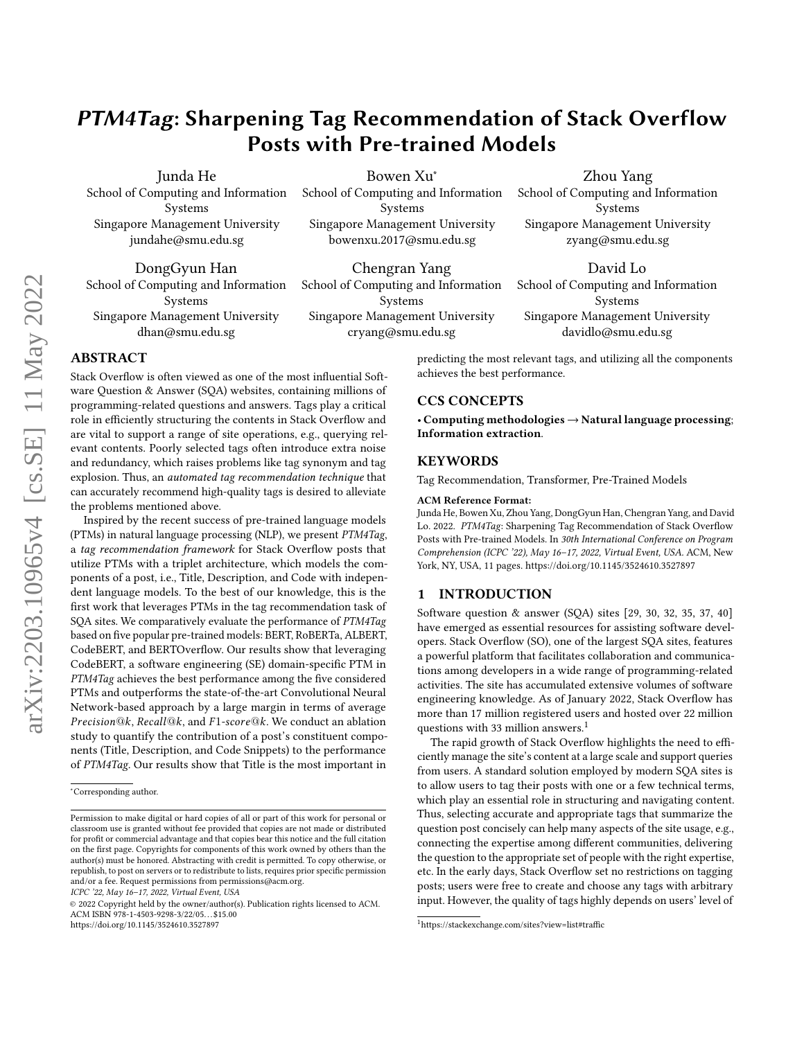# PTM4Tag: Sharpening Tag Recommendation of Stack Overflow Posts with Pre-trained Models

Junda He

School of Computing and Information Systems Singapore Management University jundahe@smu.edu.sg

DongGyun Han School of Computing and Information Systems Singapore Management University dhan@smu.edu.sg

Bowen Xu<sup>∗</sup> School of Computing and Information Systems Singapore Management University bowenxu.2017@smu.edu.sg

Chengran Yang School of Computing and Information Systems Singapore Management University cryang@smu.edu.sg

## Zhou Yang

School of Computing and Information Systems Singapore Management University zyang@smu.edu.sg

David Lo School of Computing and Information

Systems Singapore Management University davidlo@smu.edu.sg

ABSTRACT

Stack Overflow is often viewed as one of the most influential Software Question & Answer (SQA) websites, containing millions of programming-related questions and answers. Tags play a critical role in efficiently structuring the contents in Stack Overflow and are vital to support a range of site operations, e.g., querying relevant contents. Poorly selected tags often introduce extra noise and redundancy, which raises problems like tag synonym and tag explosion. Thus, an automated tag recommendation technique that can accurately recommend high-quality tags is desired to alleviate the problems mentioned above.

Inspired by the recent success of pre-trained language models (PTMs) in natural language processing (NLP), we present PTM4Tag, a tag recommendation framework for Stack Overflow posts that utilize PTMs with a triplet architecture, which models the components of a post, i.e., Title, Description, and Code with independent language models. To the best of our knowledge, this is the first work that leverages PTMs in the tag recommendation task of SQA sites. We comparatively evaluate the performance of PTM4Tag based on five popular pre-trained models: BERT, RoBERTa, ALBERT, CodeBERT, and BERTOverflow. Our results show that leveraging CodeBERT, a software engineering (SE) domain-specific PTM in PTM4Tag achieves the best performance among the five considered PTMs and outperforms the state-of-the-art Convolutional Neural Network-based approach by a large margin in terms of average  $Precision@k$ ,  $Recall@k$ , and  $F1-score@k$ . We conduct an ablation study to quantify the contribution of a post's constituent components (Title, Description, and Code Snippets) to the performance of PTM4Tag. Our results show that Title is the most important in

ICPC '22, May 16–17, 2022, Virtual Event, USA

© 2022 Copyright held by the owner/author(s). Publication rights licensed to ACM. ACM ISBN 978-1-4503-9298-3/22/05. . . \$15.00 <https://doi.org/10.1145/3524610.3527897>

predicting the most relevant tags, and utilizing all the components achieves the best performance.

## CCS CONCEPTS

• Computing methodologies → Natural language processing; Information extraction.

### **KEYWORDS**

Tag Recommendation, Transformer, Pre-Trained Models

#### ACM Reference Format:

Junda He, Bowen Xu, Zhou Yang, DongGyun Han, Chengran Yang, and David Lo. 2022. PTM4Tag: Sharpening Tag Recommendation of Stack Overflow Posts with Pre-trained Models. In 30th International Conference on Program Comprehension (ICPC '22), May 16–17, 2022, Virtual Event, USA. ACM, New York, NY, USA, [11](#page-10-0) pages.<https://doi.org/10.1145/3524610.3527897>

#### <span id="page-0-1"></span>1 INTRODUCTION

Software question & answer (SQA) sites [\[29,](#page-10-1) [30,](#page-10-2) [32,](#page-10-3) [35,](#page-10-4) [37,](#page-10-5) [40\]](#page-10-6) have emerged as essential resources for assisting software developers. Stack Overflow (SO), one of the largest SQA sites, features a powerful platform that facilitates collaboration and communications among developers in a wide range of programming-related activities. The site has accumulated extensive volumes of software engineering knowledge. As of January 2022, Stack Overflow has more than 17 million registered users and hosted over 22 million questions with 33 million answers.<sup>[1](#page-0-0)</sup>

The rapid growth of Stack Overflow highlights the need to efficiently manage the site's content at a large scale and support queries from users. A standard solution employed by modern SQA sites is to allow users to tag their posts with one or a few technical terms, which play an essential role in structuring and navigating content. Thus, selecting accurate and appropriate tags that summarize the question post concisely can help many aspects of the site usage, e.g., connecting the expertise among different communities, delivering the question to the appropriate set of people with the right expertise, etc. In the early days, Stack Overflow set no restrictions on tagging posts; users were free to create and choose any tags with arbitrary input. However, the quality of tags highly depends on users' level of

<sup>∗</sup>Corresponding author.

Permission to make digital or hard copies of all or part of this work for personal or classroom use is granted without fee provided that copies are not made or distributed for profit or commercial advantage and that copies bear this notice and the full citation on the first page. Copyrights for components of this work owned by others than the author(s) must be honored. Abstracting with credit is permitted. To copy otherwise, or republish, to post on servers or to redistribute to lists, requires prior specific permission and/or a fee. Request permissions from permissions@acm.org.

<span id="page-0-0"></span><sup>1</sup>[https://stackexchange.com/sites?view=list#traffic]( https://stackexchange.com/sites?view=list##traffic)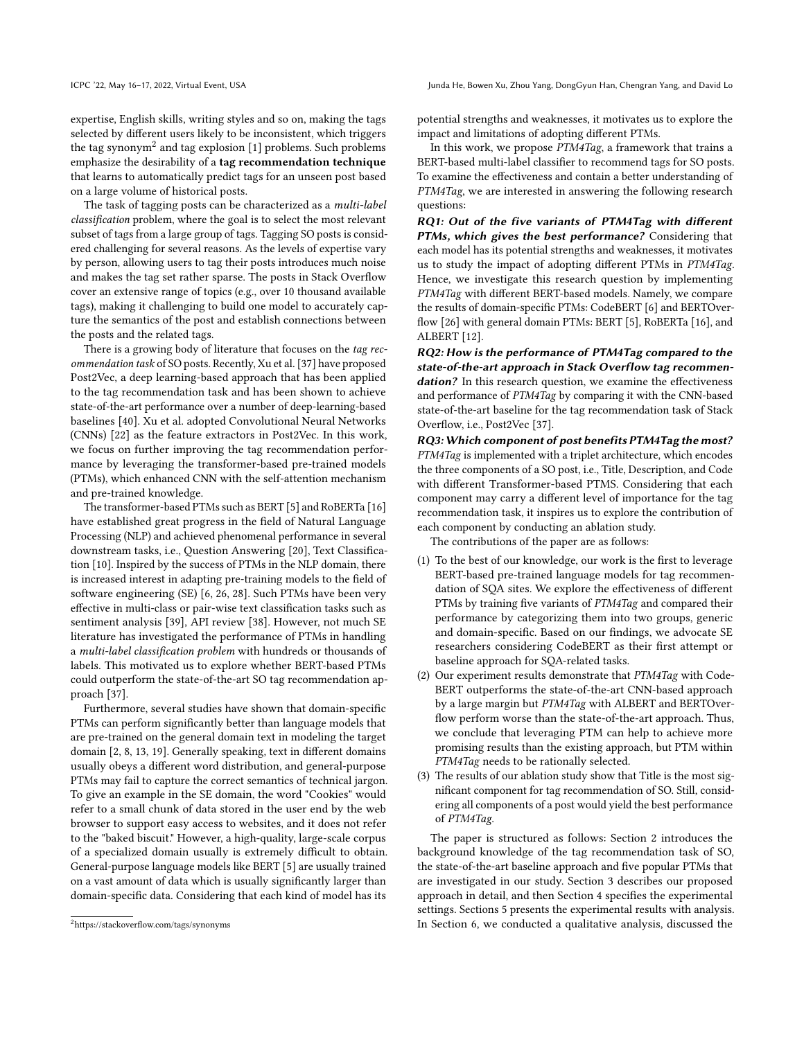ICPC '22, May 16-17, 2022, Virtual Event, USA Junda He, Bowen Xu, Zhou Yang, DongGyun Han, Chengran Yang, and David Lo

expertise, English skills, writing styles and so on, making the tags selected by different users likely to be inconsistent, which triggers the tag synonym $^2$  $^2$  and tag explosion [\[1\]](#page-10-7) problems. Such problems emphasize the desirability of a tag recommendation technique that learns to automatically predict tags for an unseen post based on a large volume of historical posts.

The task of tagging posts can be characterized as a multi-label classification problem, where the goal is to select the most relevant subset of tags from a large group of tags. Tagging SO posts is considered challenging for several reasons. As the levels of expertise vary by person, allowing users to tag their posts introduces much noise and makes the tag set rather sparse. The posts in Stack Overflow cover an extensive range of topics (e.g., over 10 thousand available tags), making it challenging to build one model to accurately capture the semantics of the post and establish connections between the posts and the related tags.

There is a growing body of literature that focuses on the tag recommendation task of SO posts. Recently, Xu et al. [\[37\]](#page-10-5) have proposed Post2Vec, a deep learning-based approach that has been applied to the tag recommendation task and has been shown to achieve state-of-the-art performance over a number of deep-learning-based baselines [\[40\]](#page-10-6). Xu et al. adopted Convolutional Neural Networks (CNNs) [\[22\]](#page-10-8) as the feature extractors in Post2Vec. In this work, we focus on further improving the tag recommendation performance by leveraging the transformer-based pre-trained models (PTMs), which enhanced CNN with the self-attention mechanism and pre-trained knowledge.

The transformer-based PTMs such as BERT [\[5\]](#page-10-9) and RoBERTa [\[16\]](#page-10-10) have established great progress in the field of Natural Language Processing (NLP) and achieved phenomenal performance in several downstream tasks, i.e., Question Answering [\[20\]](#page-10-11), Text Classification [\[10\]](#page-10-12). Inspired by the success of PTMs in the NLP domain, there is increased interest in adapting pre-training models to the field of software engineering (SE) [\[6,](#page-10-13) [26,](#page-10-14) [28\]](#page-10-15). Such PTMs have been very effective in multi-class or pair-wise text classification tasks such as sentiment analysis [\[39\]](#page-10-16), API review [\[38\]](#page-10-17). However, not much SE literature has investigated the performance of PTMs in handling a multi-label classification problem with hundreds or thousands of labels. This motivated us to explore whether BERT-based PTMs could outperform the state-of-the-art SO tag recommendation approach [\[37\]](#page-10-5).

Furthermore, several studies have shown that domain-specific PTMs can perform significantly better than language models that are pre-trained on the general domain text in modeling the target domain [\[2,](#page-10-18) [8,](#page-10-19) [13,](#page-10-20) [19\]](#page-10-21). Generally speaking, text in different domains usually obeys a different word distribution, and general-purpose PTMs may fail to capture the correct semantics of technical jargon. To give an example in the SE domain, the word "Cookies" would refer to a small chunk of data stored in the user end by the web browser to support easy access to websites, and it does not refer to the "baked biscuit." However, a high-quality, large-scale corpus of a specialized domain usually is extremely difficult to obtain. General-purpose language models like BERT [\[5\]](#page-10-9) are usually trained on a vast amount of data which is usually significantly larger than domain-specific data. Considering that each kind of model has its

potential strengths and weaknesses, it motivates us to explore the impact and limitations of adopting different PTMs.

In this work, we propose PTM4Tag, a framework that trains a BERT-based multi-label classifier to recommend tags for SO posts. To examine the effectiveness and contain a better understanding of PTM4Tag, we are interested in answering the following research questions:

RQ1: Out of the five variants of PTM4Tag with different PTMs, which gives the best performance? Considering that each model has its potential strengths and weaknesses, it motivates us to study the impact of adopting different PTMs in PTM4Tag. Hence, we investigate this research question by implementing PTM4Tag with different BERT-based models. Namely, we compare the results of domain-specific PTMs: CodeBERT [\[6\]](#page-10-13) and BERTOverflow [\[26\]](#page-10-14) with general domain PTMs: BERT [\[5\]](#page-10-9), RoBERTa [\[16\]](#page-10-10), and ALBERT [\[12\]](#page-10-22).

RQ2: How is the performance of PTM4Tag compared to the state-of-the-art approach in Stack Overflow tag recommendation? In this research question, we examine the effectiveness and performance of PTM4Tag by comparing it with the CNN-based state-of-the-art baseline for the tag recommendation task of Stack Overflow, i.e., Post2Vec [\[37\]](#page-10-5).

RQ3: Which component of post benefits PTM4Tag the most? PTM4Tag is implemented with a triplet architecture, which encodes the three components of a SO post, i.e., Title, Description, and Code with different Transformer-based PTMS. Considering that each component may carry a different level of importance for the tag recommendation task, it inspires us to explore the contribution of each component by conducting an ablation study.

The contributions of the paper are as follows:

- (1) To the best of our knowledge, our work is the first to leverage BERT-based pre-trained language models for tag recommendation of SQA sites. We explore the effectiveness of different PTMs by training five variants of PTM4Tag and compared their performance by categorizing them into two groups, generic and domain-specific. Based on our findings, we advocate SE researchers considering CodeBERT as their first attempt or baseline approach for SQA-related tasks.
- (2) Our experiment results demonstrate that PTM4Tag with Code-BERT outperforms the state-of-the-art CNN-based approach by a large margin but PTM4Tag with ALBERT and BERTOverflow perform worse than the state-of-the-art approach. Thus, we conclude that leveraging PTM can help to achieve more promising results than the existing approach, but PTM within PTM4Tag needs to be rationally selected.
- (3) The results of our ablation study show that Title is the most significant component for tag recommendation of SO. Still, considering all components of a post would yield the best performance of PTM4Tag.

The paper is structured as follows: Section [2](#page-2-0) introduces the background knowledge of the tag recommendation task of SO, the state-of-the-art baseline approach and five popular PTMs that are investigated in our study. Section [3](#page-3-0) describes our proposed approach in detail, and then Section [4](#page-4-0) specifies the experimental settings. Sections [5](#page-6-0) presents the experimental results with analysis. In Section [6,](#page-8-0) we conducted a qualitative analysis, discussed the

<span id="page-1-0"></span><sup>2</sup><https://stackoverflow.com/tags/synonyms>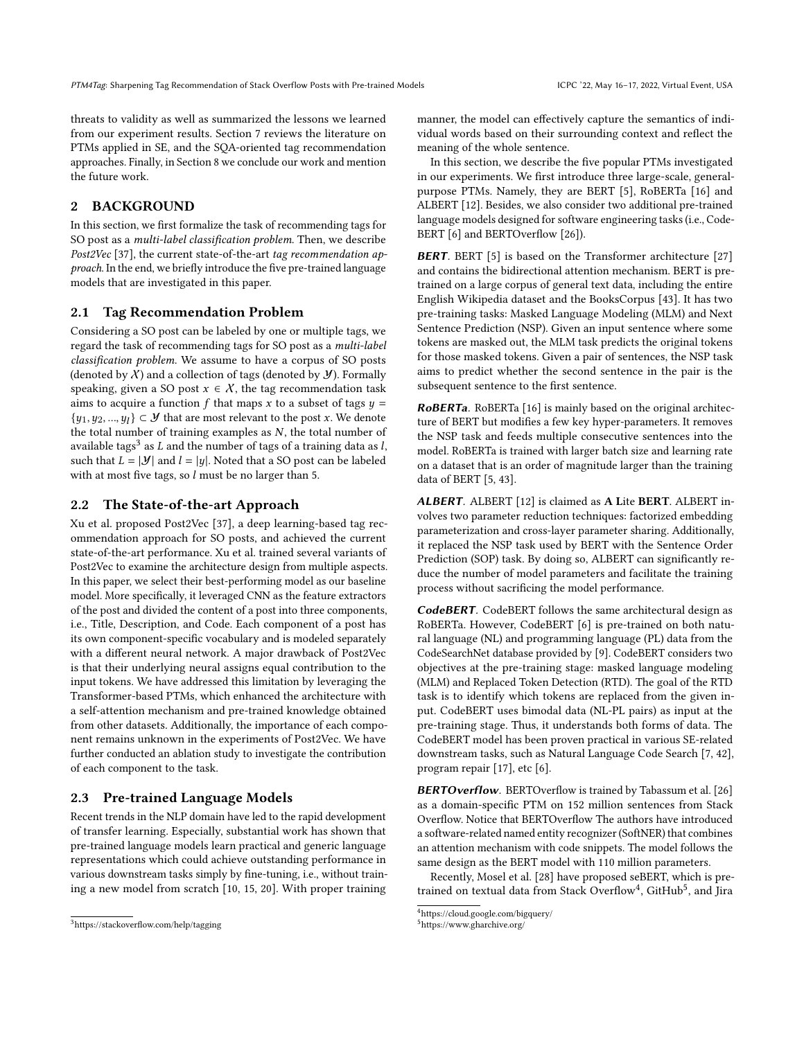threats to validity as well as summarized the lessons we learned from our experiment results. Section [7](#page-9-0) reviews the literature on PTMs applied in SE, and the SQA-oriented tag recommendation approaches. Finally, in Section [8](#page-9-1) we conclude our work and mention the future work.

# <span id="page-2-0"></span>2 BACKGROUND

In this section, we first formalize the task of recommending tags for SO post as a multi-label classification problem. Then, we describe Post2Vec [\[37\]](#page-10-5), the current state-of-the-art tag recommendation approach. In the end, we briefly introduce the five pre-trained language models that are investigated in this paper.

### 2.1 Tag Recommendation Problem

Considering a SO post can be labeled by one or multiple tags, we regard the task of recommending tags for SO post as a multi-label classification problem. We assume to have a corpus of SO posts (denoted by  $X$ ) and a collection of tags (denoted by  $Y$ ). Formally speaking, given a SO post  $x \in X$ , the tag recommendation task aims to acquire a function  $f$  that maps  $x$  to a subset of tags  $y =$  ${y_1, y_2, ..., y_l} \subset \mathcal{Y}$  that are most relevant to the post x. We denote the total number of training examples as  $N$ , the total number of available tags $^3$  $^3$  as  $L$  and the number of tags of a training data as  $l,$ such that  $L = |\mathcal{Y}|$  and  $l = |y|$ . Noted that a SO post can be labeled with at most five tags, so  $l$  must be no larger than 5.

#### <span id="page-2-4"></span>2.2 The State-of-the-art Approach

Xu et al. proposed Post2Vec [\[37\]](#page-10-5), a deep learning-based tag recommendation approach for SO posts, and achieved the current state-of-the-art performance. Xu et al. trained several variants of Post2Vec to examine the architecture design from multiple aspects. In this paper, we select their best-performing model as our baseline model. More specifically, it leveraged CNN as the feature extractors of the post and divided the content of a post into three components, i.e., Title, Description, and Code. Each component of a post has its own component-specific vocabulary and is modeled separately with a different neural network. A major drawback of Post2Vec is that their underlying neural assigns equal contribution to the input tokens. We have addressed this limitation by leveraging the Transformer-based PTMs, which enhanced the architecture with a self-attention mechanism and pre-trained knowledge obtained from other datasets. Additionally, the importance of each component remains unknown in the experiments of Post2Vec. We have further conducted an ablation study to investigate the contribution of each component to the task.

#### 2.3 Pre-trained Language Models

Recent trends in the NLP domain have led to the rapid development of transfer learning. Especially, substantial work has shown that pre-trained language models learn practical and generic language representations which could achieve outstanding performance in various downstream tasks simply by fine-tuning, i.e., without training a new model from scratch [\[10,](#page-10-12) [15,](#page-10-23) [20\]](#page-10-11). With proper training

manner, the model can effectively capture the semantics of individual words based on their surrounding context and reflect the meaning of the whole sentence.

In this section, we describe the five popular PTMs investigated in our experiments. We first introduce three large-scale, generalpurpose PTMs. Namely, they are BERT [\[5\]](#page-10-9), RoBERTa [\[16\]](#page-10-10) and ALBERT [\[12\]](#page-10-22). Besides, we also consider two additional pre-trained language models designed for software engineering tasks (i.e., Code-BERT [\[6\]](#page-10-13) and BERTOverflow [\[26\]](#page-10-14)).

**BERT**. BERT [\[5\]](#page-10-9) is based on the Transformer architecture [\[27\]](#page-10-24) and contains the bidirectional attention mechanism. BERT is pretrained on a large corpus of general text data, including the entire English Wikipedia dataset and the BooksCorpus [\[43\]](#page-10-25). It has two pre-training tasks: Masked Language Modeling (MLM) and Next Sentence Prediction (NSP). Given an input sentence where some tokens are masked out, the MLM task predicts the original tokens for those masked tokens. Given a pair of sentences, the NSP task aims to predict whether the second sentence in the pair is the subsequent sentence to the first sentence.

RoBERTa. RoBERTa [\[16\]](#page-10-10) is mainly based on the original architecture of BERT but modifies a few key hyper-parameters. It removes the NSP task and feeds multiple consecutive sentences into the model. RoBERTa is trained with larger batch size and learning rate on a dataset that is an order of magnitude larger than the training data of BERT [\[5,](#page-10-9) [43\]](#page-10-25).

ALBERT. ALBERT [\[12\]](#page-10-22) is claimed as A Lite BERT. ALBERT involves two parameter reduction techniques: factorized embedding parameterization and cross-layer parameter sharing. Additionally, it replaced the NSP task used by BERT with the Sentence Order Prediction (SOP) task. By doing so, ALBERT can significantly reduce the number of model parameters and facilitate the training process without sacrificing the model performance.

CodeBERT. CodeBERT follows the same architectural design as RoBERTa. However, CodeBERT [\[6\]](#page-10-13) is pre-trained on both natural language (NL) and programming language (PL) data from the CodeSearchNet database provided by [\[9\]](#page-10-26). CodeBERT considers two objectives at the pre-training stage: masked language modeling (MLM) and Replaced Token Detection (RTD). The goal of the RTD task is to identify which tokens are replaced from the given input. CodeBERT uses bimodal data (NL-PL pairs) as input at the pre-training stage. Thus, it understands both forms of data. The CodeBERT model has been proven practical in various SE-related downstream tasks, such as Natural Language Code Search [\[7,](#page-10-27) [42\]](#page-10-28), program repair [\[17\]](#page-10-29), etc [\[6\]](#page-10-13).

BERTOverflow. BERTOverflow is trained by Tabassum et al. [\[26\]](#page-10-14) as a domain-specific PTM on 152 million sentences from Stack Overflow. Notice that BERTOverflow The authors have introduced a software-related named entity recognizer (SoftNER) that combines an attention mechanism with code snippets. The model follows the same design as the BERT model with 110 million parameters.

Recently, Mosel et al. [\[28\]](#page-10-15) have proposed seBERT, which is pre-trained on textual data from Stack Overflow<sup>[4](#page-2-2)</sup>, GitHub<sup>[5](#page-2-3)</sup>, and Jira

<span id="page-2-1"></span><sup>3</sup><https://stackoverflow.com/help/tagging>

<span id="page-2-2"></span><sup>4</sup><https://cloud.google.com/bigquery/>

<span id="page-2-3"></span><sup>5</sup><https://www.gharchive.org/>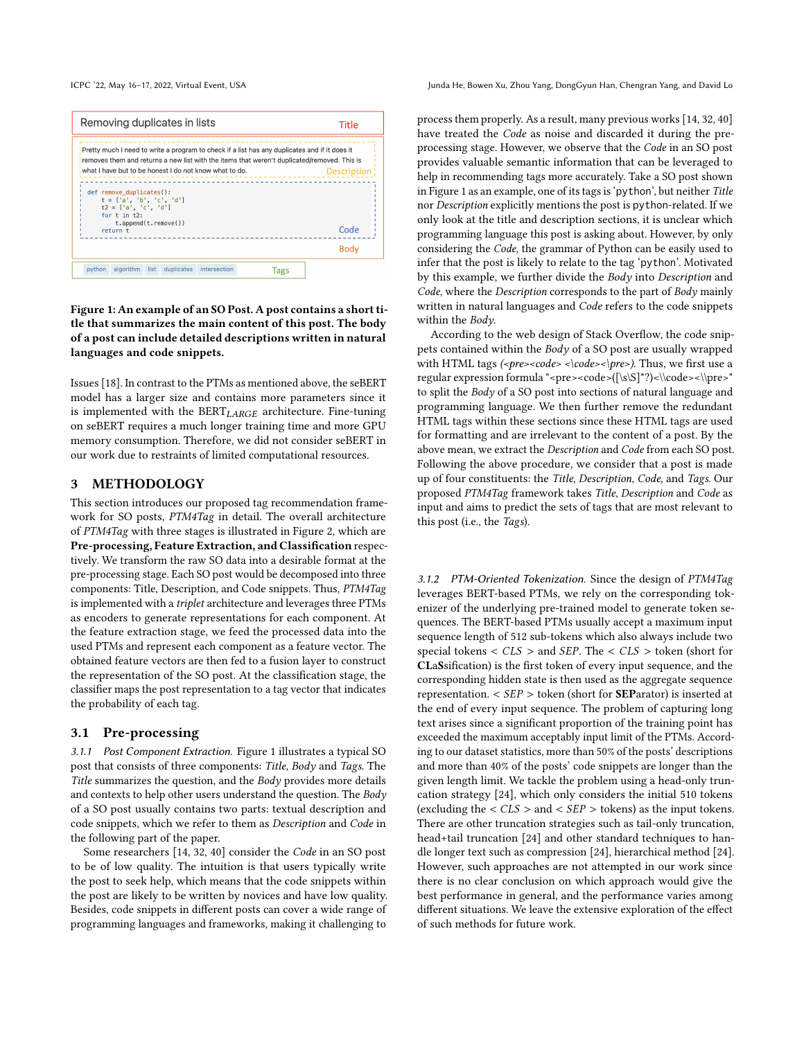<span id="page-3-1"></span>Removing duplicates in lists Title Pretty much I need to write a program to check if a list has any duplicates and if it does it removes them and returns a new list with the items that weren't duplicated/removed. This is what I have but to be honest I do not know what to do. **Description** def remove\_duplicates():  $t = [a', 'b', 'c', 'd']$ <br>
for t in t2: td 1 t.append(t.remove()) Code return t **Body** python algorithm list duplicates intersection **Tags** 

### Figure 1: An example of an SO Post. A post contains a short title that summarizes the main content of this post. The body of a post can include detailed descriptions written in natural languages and code snippets.

Issues [\[18\]](#page-10-30). In contrast to the PTMs as mentioned above, the seBERT model has a larger size and contains more parameters since it is implemented with the  $BERT_{LARGE}$  architecture. Fine-tuning on seBERT requires a much longer training time and more GPU memory consumption. Therefore, we did not consider seBERT in our work due to restraints of limited computational resources.

## <span id="page-3-0"></span>3 METHODOLOGY

This section introduces our proposed tag recommendation framework for SO posts, PTM4Tag in detail. The overall architecture of PTM4Tag with three stages is illustrated in Figure [2,](#page-4-1) which are Pre-processing, Feature Extraction, and Classification respectively. We transform the raw SO data into a desirable format at the pre-processing stage. Each SO post would be decomposed into three components: Title, Description, and Code snippets. Thus, PTM4Tag is implemented with a triplet architecture and leverages three PTMs as encoders to generate representations for each component. At the feature extraction stage, we feed the processed data into the used PTMs and represent each component as a feature vector. The obtained feature vectors are then fed to a fusion layer to construct the representation of the SO post. At the classification stage, the classifier maps the post representation to a tag vector that indicates the probability of each tag.

#### 3.1 Pre-processing

3.1.1 Post Component Extraction. Figure [1](#page-3-1) illustrates a typical SO post that consists of three components: Title, Body and Tags. The Title summarizes the question, and the Body provides more details and contexts to help other users understand the question. The Body of a SO post usually contains two parts: textual description and code snippets, which we refer to them as Description and Code in the following part of the paper.

Some researchers [\[14,](#page-10-31) [32,](#page-10-3) [40\]](#page-10-6) consider the Code in an SO post to be of low quality. The intuition is that users typically write the post to seek help, which means that the code snippets within the post are likely to be written by novices and have low quality. Besides, code snippets in different posts can cover a wide range of programming languages and frameworks, making it challenging to

ICPC '22, May 16-17, 2022, Virtual Event, USA Junda He, Bowen Xu, Zhou Yang, DongGyun Han, Chengran Yang, and David Lo

process them properly. As a result, many previous works [\[14,](#page-10-31) [32,](#page-10-3) [40\]](#page-10-6) have treated the Code as noise and discarded it during the preprocessing stage. However, we observe that the Code in an SO post provides valuable semantic information that can be leveraged to help in recommending tags more accurately. Take a SO post shown in Figure [1](#page-3-1) as an example, one of its tags is 'python', but neither Title nor Description explicitly mentions the post is python-related. If we only look at the title and description sections, it is unclear which programming language this post is asking about. However, by only considering the Code, the grammar of Python can be easily used to infer that the post is likely to relate to the tag 'python'. Motivated by this example, we further divide the Body into Description and Code, where the Description corresponds to the part of Body mainly written in natural languages and Code refers to the code snippets within the Body.

According to the web design of Stack Overflow, the code snippets contained within the Body of a SO post are usually wrapped with HTML tags  $\langle$ -pre> $\langle$ code> $\langle$ lcode> $\langle$ lpre>). Thus, we first use a regular expression formula "<pre><code>( $[\s\S]$ \*?)< $\cdots$ to split the Body of a SO post into sections of natural language and programming language. We then further remove the redundant HTML tags within these sections since these HTML tags are used for formatting and are irrelevant to the content of a post. By the above mean, we extract the Description and Code from each SO post. Following the above procedure, we consider that a post is made up of four constituents: the Title, Description, Code, and Tags. Our proposed PTM4Tag framework takes Title, Description and Code as input and aims to predict the sets of tags that are most relevant to this post (i.e., the Tags).

3.1.2 PTM-Oriented Tokenization. Since the design of PTM4Tag leverages BERT-based PTMs, we rely on the corresponding tokenizer of the underlying pre-trained model to generate token sequences. The BERT-based PTMs usually accept a maximum input sequence length of 512 sub-tokens which also always include two special tokens  $\langle CLS \rangle$  and SEP. The  $\langle CLS \rangle$  token (short for CLaSsification) is the first token of every input sequence, and the corresponding hidden state is then used as the aggregate sequence representation.  $\langle$  SEP  $\rangle$  token (short for **SEP**arator) is inserted at the end of every input sequence. The problem of capturing long text arises since a significant proportion of the training point has exceeded the maximum acceptably input limit of the PTMs. According to our dataset statistics, more than 50% of the posts' descriptions and more than 40% of the posts' code snippets are longer than the given length limit. We tackle the problem using a head-only truncation strategy [\[24\]](#page-10-32), which only considers the initial 510 tokens (excluding the  $\langle CLS \rangle$  and  $\langle SEP \rangle$  tokens) as the input tokens. There are other truncation strategies such as tail-only truncation, head+tail truncation [\[24\]](#page-10-32) and other standard techniques to handle longer text such as compression [\[24\]](#page-10-32), hierarchical method [\[24\]](#page-10-32). However, such approaches are not attempted in our work since there is no clear conclusion on which approach would give the best performance in general, and the performance varies among different situations. We leave the extensive exploration of the effect of such methods for future work.

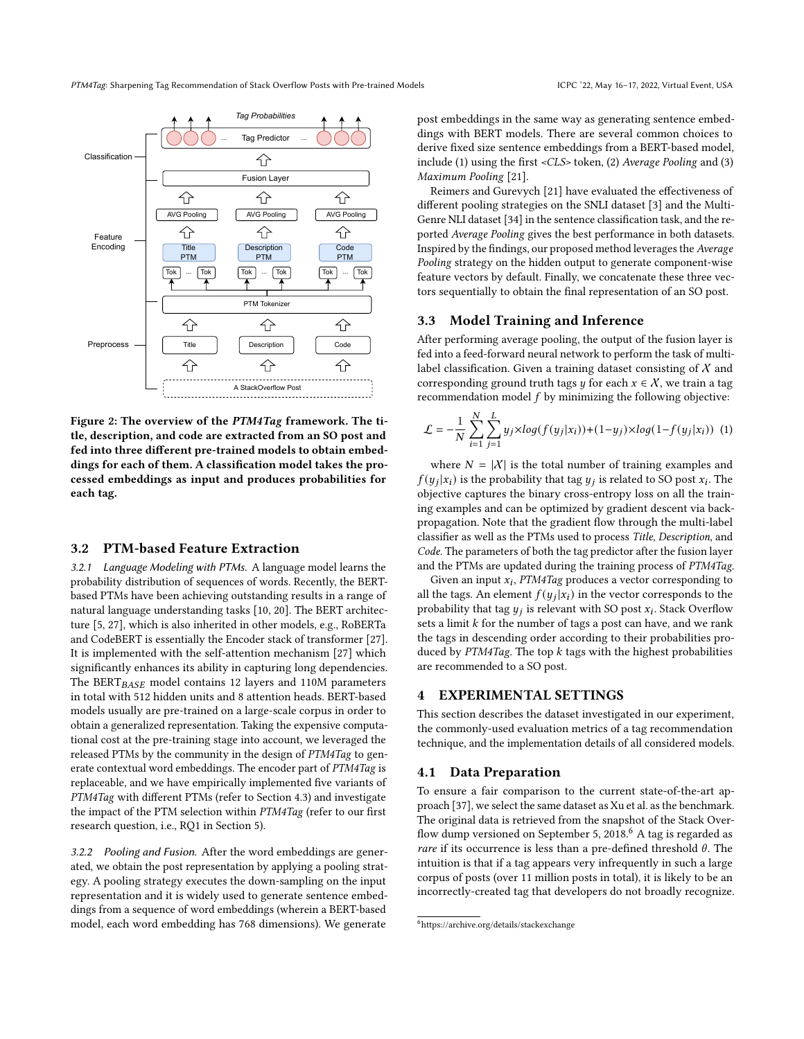<span id="page-4-1"></span>

Figure 2: The overview of the PTM4Tag framework. The title, description, and code are extracted from an SO post and fed into three different pre-trained models to obtain embeddings for each of them. A classification model takes the processed embeddings as input and produces probabilities for each tag.

### 3.2 PTM-based Feature Extraction

3.2.1 Language Modeling with PTMs. A language model learns the probability distribution of sequences of words. Recently, the BERTbased PTMs have been achieving outstanding results in a range of natural language understanding tasks [\[10,](#page-10-12) [20\]](#page-10-11). The BERT architecture [\[5,](#page-10-9) [27\]](#page-10-24), which is also inherited in other models, e.g., RoBERTa and CodeBERT is essentially the Encoder stack of transformer [\[27\]](#page-10-24). It is implemented with the self-attention mechanism [\[27\]](#page-10-24) which significantly enhances its ability in capturing long dependencies. The BERT $_{BASE}$  model contains 12 layers and 110M parameters in total with 512 hidden units and 8 attention heads. BERT-based models usually are pre-trained on a large-scale corpus in order to obtain a generalized representation. Taking the expensive computational cost at the pre-training stage into account, we leveraged the released PTMs by the community in the design of PTM4Tag to generate contextual word embeddings. The encoder part of PTM4Tag is replaceable, and we have empirically implemented five variants of PTM4Tag with different PTMs (refer to Section [4.3\)](#page-5-0) and investigate the impact of the PTM selection within PTM4Tag (refer to our first research question, i.e., RQ1 in Section [5\)](#page-6-0).

3.2.2 Pooling and Fusion. After the word embeddings are generated, we obtain the post representation by applying a pooling strategy. A pooling strategy executes the down-sampling on the input representation and it is widely used to generate sentence embeddings from a sequence of word embeddings (wherein a BERT-based model, each word embedding has 768 dimensions). We generate

post embeddings in the same way as generating sentence embeddings with BERT models. There are several common choices to derive fixed size sentence embeddings from a BERT-based model, include (1) using the first <CLS> token, (2) Average Pooling and (3) Maximum Pooling [\[21\]](#page-10-33).

Reimers and Gurevych [\[21\]](#page-10-33) have evaluated the effectiveness of different pooling strategies on the SNLI dataset [\[3\]](#page-10-34) and the Multi-Genre NLI dataset [\[34\]](#page-10-35) in the sentence classification task, and the reported Average Pooling gives the best performance in both datasets. Inspired by the findings, our proposed method leverages the Average Pooling strategy on the hidden output to generate component-wise feature vectors by default. Finally, we concatenate these three vectors sequentially to obtain the final representation of an SO post.

#### 3.3 Model Training and Inference

After performing average pooling, the output of the fusion layer is fed into a feed-forward neural network to perform the task of multilabel classification. Given a training dataset consisting of  $X$  and corresponding ground truth tags *y* for each  $x \in \mathcal{X}$ , we train a tag recommendation model  $f$  by minimizing the following objective:

$$
\mathcal{L} = -\frac{1}{N}\sum_{i=1}^{N}\sum_{j=1}^{L}y_j\times log(f(y_j|x_i)) + (1-y_j)\times log(1-f(y_j|x_i))
$$
(1)

where  $N = |X|$  is the total number of training examples and  $f(y_j|x_i)$  is the probability that tag  $y_j$  is related to SO post  $x_i$ . The objective captures the binary cross-entropy loss on all the training examples and can be optimized by gradient descent via backpropagation. Note that the gradient flow through the multi-label classifier as well as the PTMs used to process Title, Description, and Code. The parameters of both the tag predictor after the fusion layer and the PTMs are updated during the training process of PTM4Tag.

Given an input  $x_i$ , PTM4Tag produces a vector corresponding to all the tags. An element  $f(y_j|x_i)$  in the vector corresponds to the probability that tag  $y_j$  is relevant with SO post  $x_i$ . Stack Overflow sets a limit  $k$  for the number of tags a post can have, and we rank the tags in descending order according to their probabilities produced by  $PTM4Tag$ . The top  $k$  tags with the highest probabilities are recommended to a SO post.

#### <span id="page-4-0"></span>EXPERIMENTAL SETTINGS

This section describes the dataset investigated in our experiment, the commonly-used evaluation metrics of a tag recommendation technique, and the implementation details of all considered models.

## <span id="page-4-3"></span>4.1 Data Preparation

To ensure a fair comparison to the current state-of-the-art approach [\[37\]](#page-10-5), we select the same dataset as Xu et al. as the benchmark. The original data is retrieved from the snapshot of the Stack Overflow dump versioned on September 5, 2018. $6$  A tag is regarded as *rare* if its occurrence is less than a pre-defined threshold  $\theta$ . The intuition is that if a tag appears very infrequently in such a large corpus of posts (over 11 million posts in total), it is likely to be an incorrectly-created tag that developers do not broadly recognize.

<span id="page-4-2"></span><sup>6</sup><https://archive.org/details/stackexchange>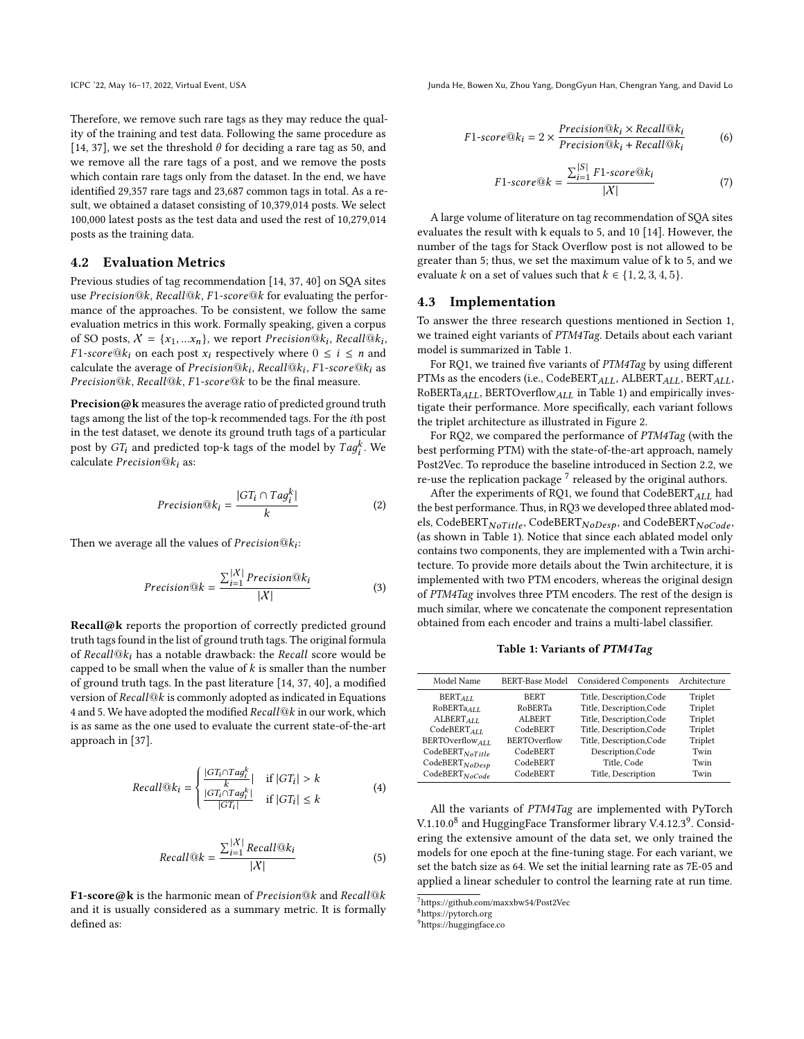Therefore, we remove such rare tags as they may reduce the quality of the training and test data. Following the same procedure as [\[14,](#page-10-31) [37\]](#page-10-5), we set the threshold  $\theta$  for deciding a rare tag as 50, and we remove all the rare tags of a post, and we remove the posts which contain rare tags only from the dataset. In the end, we have identified 29,357 rare tags and 23,687 common tags in total. As a result, we obtained a dataset consisting of 10,379,014 posts. We select 100,000 latest posts as the test data and used the rest of 10,279,014 posts as the training data.

#### 4.2 Evaluation Metrics

Previous studies of tag recommendation [\[14,](#page-10-31) [37,](#page-10-5) [40\]](#page-10-6) on SQA sites use Precision@k, Recall@k, F1-score@k for evaluating the performance of the approaches. To be consistent, we follow the same evaluation metrics in this work. Formally speaking, given a corpus of SO posts,  $X = \{x_1, ... x_n\}$ , we report Precision@ $k_i$ , Recall@ $k_i$ ,  $F1-score@k_i$  on each post  $x_i$  respectively where  $0 \le i \le n$  and calculate the average of  $Precision@k_i$ ,  $Recall@k_i$ ,  $F1-score@k_i$  as Precision@k, Recall@k, F1-score@k to be the final measure.

Precision@k measures the average ratio of predicted ground truth tags among the list of the top-k recommended tags. For the th post in the test dataset, we denote its ground truth tags of a particular post by  $GT_i$  and predicted top-k tags of the model by  $Tag_i^k$ . We calculate  $Precision@k_i$  as:

$$
Precision@k_i = \frac{|GT_i \cap Tag_i^k|}{k}
$$
 (2)

Then we average all the values of  $Precision@k_i$ :

$$
Precision@k = \frac{\sum_{i=1}^{|X|} Precision@k_i}{|X|}
$$
(3)

Recall@k reports the proportion of correctly predicted ground truth tags found in the list of ground truth tags. The original formula of Recall $@k_i$  has a notable drawback: the Recall score would be capped to be small when the value of  $k$  is smaller than the number of ground truth tags. In the past literature [\[14,](#page-10-31) [37,](#page-10-5) [40\]](#page-10-6), a modified version of  $Recall@k$  is commonly adopted as indicated in Equations [4](#page-5-1) and [5.](#page-5-2) We have adopted the modified  $Recall@k$  in our work, which is as same as the one used to evaluate the current state-of-the-art approach in [\[37\]](#page-10-5).

<span id="page-5-1"></span>
$$
Recall@k_i = \begin{cases} \frac{|GT_i \cap Tag_i^k|}{k} & \text{if } |GT_i| > k\\ \frac{|GT_i \cap Tag_i^k|}{|GT_i|} & \text{if } |GT_i| \le k \end{cases}
$$
(4)

<span id="page-5-2"></span>
$$
Recall@k = \frac{\sum_{i=1}^{|X|}Recall@k_i}{|X|}
$$
(5)

F1-score@k is the harmonic mean of Precision@k and Recall@k and it is usually considered as a summary metric. It is formally defined as:

J

ICPC '22, May 16-17, 2022, Virtual Event, USA Junda He, Bowen Xu, Zhou Yang, DongGyun Han, Chengran Yang, and David Lo

$$
F1-score@k_i = 2 \times \frac{Precision@k_i \times Recall@k_i}{Precision@k_i + Recall@k_i}
$$
 (6)

$$
F1-score@k = \frac{\sum_{i=1}^{|S|} F1-score@k_i}{|X|} \tag{7}
$$

A large volume of literature on tag recommendation of SQA sites evaluates the result with k equals to 5, and 10 [\[14\]](#page-10-31). However, the number of the tags for Stack Overflow post is not allowed to be greater than 5; thus, we set the maximum value of k to 5, and we evaluate k on a set of values such that  $k \in \{1, 2, 3, 4, 5\}.$ 

#### <span id="page-5-0"></span>4.3 Implementation

To answer the three research questions mentioned in Section [1,](#page-0-1) we trained eight variants of PTM4Tag. Details about each variant model is summarized in Table [1.](#page-5-3)

For RQ1, we trained five variants of PTM4Tag by using different PTMs as the encoders (i.e., CodeBERT<sub>ALL</sub>, ALBERT<sub>ALL</sub>, BERT<sub>ALL</sub>, RoBERTa $_{ALL}$ , BERTOverflow $_{ALL}$  in Table [1\)](#page-5-3) and empirically investigate their performance. More specifically, each variant follows the triplet architecture as illustrated in Figure [2.](#page-4-1)

For RQ2, we compared the performance of PTM4Tag (with the best performing PTM) with the state-of-the-art approach, namely Post2Vec. To reproduce the baseline introduced in Section [2.2,](#page-2-4) we re-use the replication package  $^7$  $^7$  released by the original authors.

After the experiments of RQ1, we found that  $CodeBERT_{ALL}$  had the best performance. Thus, in RQ3 we developed three ablated models, CodeBERT NoTitle, CodeBERT NoDesp, and CodeBERT NoCode, (as shown in Table [1\)](#page-5-3). Notice that since each ablated model only contains two components, they are implemented with a Twin architecture. To provide more details about the Twin architecture, it is implemented with two PTM encoders, whereas the original design of PTM4Tag involves three PTM encoders. The rest of the design is much similar, where we concatenate the component representation obtained from each encoder and trains a multi-label classifier.

Table 1: Variants of PTM4Tag

<span id="page-5-3"></span>

| Model Name                  | <b>BERT-Base Model</b> | <b>Considered Components</b> | Architecture |
|-----------------------------|------------------------|------------------------------|--------------|
| $BERT_{AIL}$                | <b>BERT</b>            | Title, Description, Code     | Triplet      |
| RoBERTa <sub>ALL</sub>      | RoBERTa                | Title, Description, Code     | Triplet      |
| ALBERT <sub>ALL</sub>       | ALBERT                 | Title, Description, Code     | Triplet      |
| CodeBERT <sub>ALL</sub>     | CodeBERT               | Title, Description, Code     | Triplet      |
| BERTOverflow ALL            | <b>BERTOverflow</b>    | Title, Description, Code     | Triplet      |
| $\text{CodeBERT}_{NoTitle}$ | CodeBERT               | Description, Code            | Twin         |
| $CodeBERT_{NoDesp}$         | CodeBERT               | Title, Code                  | Twin         |
| $CodeBERT_{NoCode}$         | CodeBERT               | Title, Description           | Twin         |
|                             |                        |                              |              |

All the variants of PTM4Tag are implemented with PyTorch V.1.10.0 $^8$  $^8$  and HuggingFace Transformer library V.4.12.3 $^9$  $^9$ . Considering the extensive amount of the data set, we only trained the models for one epoch at the fine-tuning stage. For each variant, we set the batch size as 64. We set the initial learning rate as 7E-05 and applied a linear scheduler to control the learning rate at run time.

<span id="page-5-4"></span><sup>7</sup><https://github.com/maxxbw54/Post2Vec>

<span id="page-5-5"></span><sup>8</sup><https://pytorch.org>

<span id="page-5-6"></span><sup>9</sup><https://huggingface.co>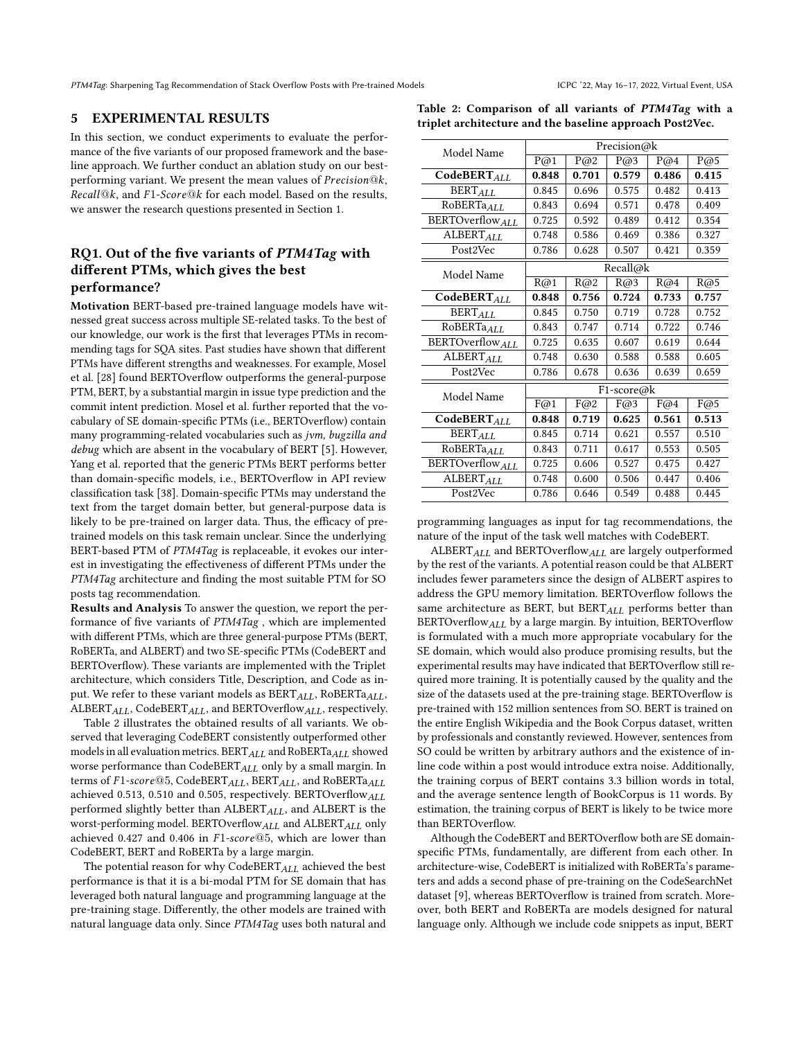#### <span id="page-6-0"></span>5 EXPERIMENTAL RESULTS

In this section, we conduct experiments to evaluate the performance of the five variants of our proposed framework and the baseline approach. We further conduct an ablation study on our bestperforming variant. We present the mean values of  $Precision@k$ ,  $Recall@k$ , and  $F1-Score@k$  for each model. Based on the results, we answer the research questions presented in Section [1.](#page-0-1)

# RQ1. Out of the five variants of PTM4Tag with different PTMs, which gives the best performance?

Motivation BERT-based pre-trained language models have witnessed great success across multiple SE-related tasks. To the best of our knowledge, our work is the first that leverages PTMs in recommending tags for SQA sites. Past studies have shown that different PTMs have different strengths and weaknesses. For example, Mosel et al. [\[28\]](#page-10-15) found BERTOverflow outperforms the general-purpose PTM, BERT, by a substantial margin in issue type prediction and the commit intent prediction. Mosel et al. further reported that the vocabulary of SE domain-specific PTMs (i.e., BERTOverflow) contain many programming-related vocabularies such as jvm, bugzilla and debug which are absent in the vocabulary of BERT [\[5\]](#page-10-9). However, Yang et al. reported that the generic PTMs BERT performs better than domain-specific models, i.e., BERTOverflow in API review classification task [\[38\]](#page-10-17). Domain-specific PTMs may understand the text from the target domain better, but general-purpose data is likely to be pre-trained on larger data. Thus, the efficacy of pretrained models on this task remain unclear. Since the underlying BERT-based PTM of PTM4Tag is replaceable, it evokes our interest in investigating the effectiveness of different PTMs under the PTM4Tag architecture and finding the most suitable PTM for SO posts tag recommendation.

Results and Analysis To answer the question, we report the performance of five variants of PTM4Tag , which are implemented with different PTMs, which are three general-purpose PTMs (BERT, RoBERTa, and ALBERT) and two SE-specific PTMs (CodeBERT and BERTOverflow). These variants are implemented with the Triplet architecture, which considers Title, Description, and Code as input. We refer to these variant models as  $BERT_{ALL}$ , RoBERTa<sub>ALL</sub>,  $\text{ALEERT}_{ALL}$ , CodeBERT $_{ALL}$ , and BERTOverflow $_{ALL}$ , respectively.

Table [2](#page-6-1) illustrates the obtained results of all variants. We observed that leveraging CodeBERT consistently outperformed other models in all evaluation metrics.  $BERT_{ALL}$  and  $RoBERTa_{ALL}$  showed worse performance than  $CodeBERT_{ALL}$  only by a small margin. In terms of  $F1$ -score@5, CodeBERT $_{ALL}$ , BERT $_{ALL}$ , and RoBERTa $_{ALL}$ achieved 0.513, 0.510 and 0.505, respectively. BERTOverflow<sub>ALL</sub> performed slightly better than  $\text{ALBERT}_{ALL}$ , and  $\text{ALBERT}$  is the worst-performing model. BERTOverflow ALL and ALBERT ALL only achieved 0.427 and 0.406 in  $F1-score@5$ , which are lower than CodeBERT, BERT and RoBERTa by a large margin.

The potential reason for why CodeBERT $_{ALL}$  achieved the best performance is that it is a bi-modal PTM for SE domain that has leveraged both natural language and programming language at the pre-training stage. Differently, the other models are trained with natural language data only. Since PTM4Tag uses both natural and

<span id="page-6-1"></span>

|  | Table 2: Comparison of all variants of PTM4Tag with a    |  |  |  |  |
|--|----------------------------------------------------------|--|--|--|--|
|  | triplet architecture and the baseline approach Post2Vec. |  |  |  |  |

| Model Name                         | Precision@k                   |       |       |       |       |  |
|------------------------------------|-------------------------------|-------|-------|-------|-------|--|
|                                    | P@1                           | P@2   | P@3   | P@4   | P@5   |  |
| $\overline{\text{CodeBERT}}_{ALL}$ | 0.848                         | 0.701 | 0.579 | 0.486 | 0.415 |  |
| <b>BERTALL</b>                     | 0.845                         | 0.696 | 0.575 | 0.482 | 0.413 |  |
| RoBERTaALL                         | 0.843                         | 0.694 | 0.571 | 0.478 | 0.409 |  |
| <b>BERTOverflow</b> ALL            | 0.725                         | 0.592 | 0.489 | 0.412 | 0.354 |  |
| $\overline{\text{ALBERT}}_{ALL}$   | 0.748                         | 0.586 | 0.469 | 0.386 | 0.327 |  |
| Post2Vec                           | 0.786                         | 0.628 | 0.507 | 0.421 | 0.359 |  |
| Model Name                         | $\overline{\text{Recall}}$ @k |       |       |       |       |  |
|                                    | R@1                           | R@2   | R@3   | R@4   | R@5   |  |
| $\overline{\text{CodeBERT}_{ALL}}$ | 0.848                         | 0.756 | 0.724 | 0.733 | 0.757 |  |
| <b>BERTALL</b>                     | 0.845                         | 0.750 | 0.719 | 0.728 | 0.752 |  |
| $\overline{\text{RoBERTa}}_{ALL}$  | 0.843                         | 0.747 | 0.714 | 0.722 | 0.746 |  |
| <b>BERTOverflow</b> ALL            | 0.725                         | 0.635 | 0.607 | 0.619 | 0.644 |  |
| ALBERTALL                          | 0.748                         | 0.630 | 0.588 | 0.588 | 0.605 |  |
| Post2Vec                           | 0.786                         | 0.678 | 0.636 | 0.639 | 0.659 |  |
| Model Name                         | F1-score@k                    |       |       |       |       |  |
|                                    | F@1                           | F@2   | F@3   | F@4   | F@5   |  |
| $\overline{\text{CodeBERT}_{ALL}}$ | 0.848                         | 0.719 | 0.625 | 0.561 | 0.513 |  |
| <b>BERTALL</b>                     | 0.845                         | 0.714 | 0.621 | 0.557 | 0.510 |  |
| RoBERTaALL                         | 0.843                         | 0.711 | 0.617 | 0.553 | 0.505 |  |
| BERTOverflow <sub>ALL</sub>        | 0.725                         | 0.606 | 0.527 | 0.475 | 0.427 |  |
| <b>ALBERTALL</b>                   | 0.748                         | 0.600 | 0.506 | 0.447 | 0.406 |  |
| Post2Vec                           | 0.786                         | 0.646 | 0.549 | 0.488 | 0.445 |  |

programming languages as input for tag recommendations, the nature of the input of the task well matches with CodeBERT.

ALBERT  $_{AII}$  and BERTOverflow  $_{AII}$  are largely outperformed by the rest of the variants. A potential reason could be that ALBERT includes fewer parameters since the design of ALBERT aspires to address the GPU memory limitation. BERTOverflow follows the same architecture as BERT, but  $BERT_{ALL}$  performs better than BERTOverflow  $ALL$  by a large margin. By intuition, BERTOverflow is formulated with a much more appropriate vocabulary for the SE domain, which would also produce promising results, but the experimental results may have indicated that BERTOverflow still required more training. It is potentially caused by the quality and the size of the datasets used at the pre-training stage. BERTOverflow is pre-trained with 152 million sentences from SO. BERT is trained on the entire English Wikipedia and the Book Corpus dataset, written by professionals and constantly reviewed. However, sentences from SO could be written by arbitrary authors and the existence of inline code within a post would introduce extra noise. Additionally, the training corpus of BERT contains 3.3 billion words in total, and the average sentence length of BookCorpus is 11 words. By estimation, the training corpus of BERT is likely to be twice more than BERTOverflow.

Although the CodeBERT and BERTOverflow both are SE domainspecific PTMs, fundamentally, are different from each other. In architecture-wise, CodeBERT is initialized with RoBERTa's parameters and adds a second phase of pre-training on the CodeSearchNet dataset [\[9\]](#page-10-26), whereas BERTOverflow is trained from scratch. Moreover, both BERT and RoBERTa are models designed for natural language only. Although we include code snippets as input, BERT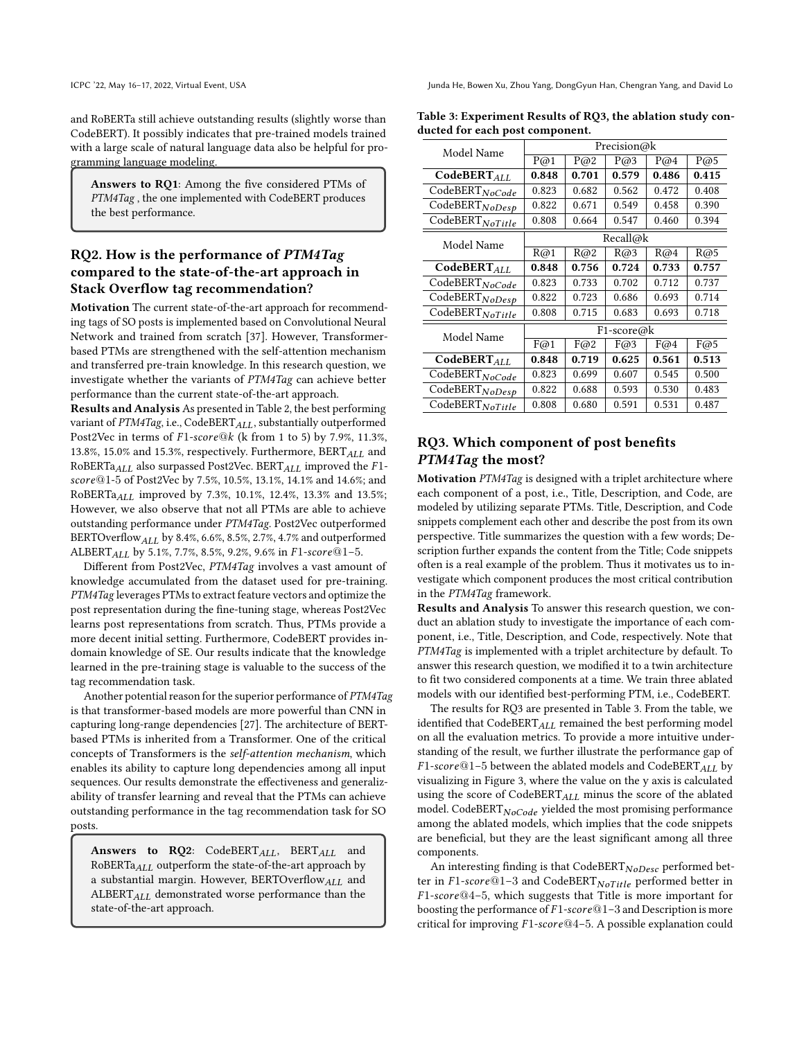ICPC '22, May 16-17, 2022, Virtual Event, USA Junda He, Bowen Xu, Zhou Yang, DongGyun Han, Chengran Yang, and David Lo

and RoBERTa still achieve outstanding results (slightly worse than CodeBERT). It possibly indicates that pre-trained models trained with a large scale of natural language data also be helpful for programming language modeling.

Answers to RQ1: Among the five considered PTMs of PTM4Tag , the one implemented with CodeBERT produces the best performance.

# RQ2. How is the performance of PTM4Tag compared to the state-of-the-art approach in Stack Overflow tag recommendation?

Motivation The current state-of-the-art approach for recommending tags of SO posts is implemented based on Convolutional Neural Network and trained from scratch [\[37\]](#page-10-5). However, Transformerbased PTMs are strengthened with the self-attention mechanism and transferred pre-train knowledge. In this research question, we investigate whether the variants of PTM4Tag can achieve better performance than the current state-of-the-art approach.

Results and Analysis As presented in Table [2,](#page-6-1) the best performing variant of PTM4Tag, i.e., CodeBERT<sub>ALL</sub>, substantially outperformed Post2Vec in terms of  $F1\text{-}score@k$  (k from 1 to 5) by 7.9%, 11.3%, 13.8%, 15.0% and 15.3%, respectively. Furthermore,  $\text{BERT}_{ALL}$  and RoBERTa $_{ALL}$  also surpassed Post2Vec. BERT $_{ALL}$  improved the F1-@1-5 of Post2Vec by 7.5%, 10.5%, 13.1%, 14.1% and 14.6%; and RoBERTa $_{ALL}$  improved by 7.3%, 10.1%, 12.4%, 13.3% and 13.5%; However, we also observe that not all PTMs are able to achieve outstanding performance under PTM4Tag. Post2Vec outperformed BERTOverflow  $ALL$  by 8.4%, 6.6%, 8.5%, 2.7%, 4.7% and outperformed ALBERT<sub>ALL</sub> by 5.1%, 7.7%, 8.5%, 9.2%, 9.6% in  $F1\text{-}score@1-5$ .

Different from Post2Vec, PTM4Tag involves a vast amount of knowledge accumulated from the dataset used for pre-training. PTM4Tag leverages PTMs to extract feature vectors and optimize the post representation during the fine-tuning stage, whereas Post2Vec learns post representations from scratch. Thus, PTMs provide a more decent initial setting. Furthermore, CodeBERT provides indomain knowledge of SE. Our results indicate that the knowledge learned in the pre-training stage is valuable to the success of the tag recommendation task.

Another potential reason for the superior performance of PTM4Tag is that transformer-based models are more powerful than CNN in capturing long-range dependencies [\[27\]](#page-10-24). The architecture of BERTbased PTMs is inherited from a Transformer. One of the critical concepts of Transformers is the self-attention mechanism, which enables its ability to capture long dependencies among all input sequences. Our results demonstrate the effectiveness and generalizability of transfer learning and reveal that the PTMs can achieve outstanding performance in the tag recommendation task for SO posts.

Answers to RQ2: CodeBERT $_{ALL}$ , BERT $_{ALL}$  and RoBERTa $_{ALL}$  outperform the state-of-the-art approach by a substantial margin. However, BERTOverflow ALL and  $ALBERT_{ALL}$  demonstrated worse performance than the state-of-the-art approach.

| Model Name                             | Precision@k |       |       |       |       |  |
|----------------------------------------|-------------|-------|-------|-------|-------|--|
|                                        | P@1         | P@2   | P@3   | P@4   | P@5   |  |
| $\overline{\text{CodeBERT}_{ALL}}$     | 0.848       | 0.701 | 0.579 | 0.486 | 0.415 |  |
| CodeBERTNoCode                         | 0.823       | 0.682 | 0.562 | 0.472 | 0.408 |  |
| CodeBERTNoDesp                         | 0.822       | 0.671 | 0.549 | 0.458 | 0.390 |  |
| CodeBERTNoTitle                        | 0.808       | 0.664 | 0.547 | 0.460 | 0.394 |  |
| Model Name                             | Recall@k    |       |       |       |       |  |
|                                        | R@1         | R@2   | R@3   | R@4   | R@5   |  |
| $\overline{\text{CodeBERT}_{ALL}}$     | 0.848       | 0.756 | 0.724 | 0.733 | 0.757 |  |
| CodeBERTNoCode                         | 0.823       | 0.733 | 0.702 | 0.712 | 0.737 |  |
| CodeBERTNoDesp                         | 0.822       | 0.723 | 0.686 | 0.693 | 0.714 |  |
| CodeBERTNoTitle                        | 0.808       | 0.715 | 0.683 | 0.693 | 0.718 |  |
| Model Name                             | F1-score@k  |       |       |       |       |  |
|                                        | F@1         | F@2   | F@3   | F@4   | F@5   |  |
| $\overline{\text{CodeBERT}}_{ALL}$     | 0.848       | 0.719 | 0.625 | 0.561 | 0.513 |  |
| CodeBERTNoCode                         | 0.823       | 0.699 | 0.607 | 0.545 | 0.500 |  |
| CodeBERTNoDesp                         | 0.822       | 0.688 | 0.593 | 0.530 | 0.483 |  |
| $\overline{\text{CodeBERT}}_{NoTitle}$ | 0.808       | 0.680 | 0.591 | 0.531 | 0.487 |  |

#### <span id="page-7-0"></span>Table 3: Experiment Results of RQ3, the ablation study conducted for each post component.

# RQ3. Which component of post benefits PTM4Tag the most?

Motivation PTM4Tag is designed with a triplet architecture where each component of a post, i.e., Title, Description, and Code, are modeled by utilizing separate PTMs. Title, Description, and Code snippets complement each other and describe the post from its own perspective. Title summarizes the question with a few words; Description further expands the content from the Title; Code snippets often is a real example of the problem. Thus it motivates us to investigate which component produces the most critical contribution in the PTM4Tag framework.

Results and Analysis To answer this research question, we conduct an ablation study to investigate the importance of each component, i.e., Title, Description, and Code, respectively. Note that PTM4Tag is implemented with a triplet architecture by default. To answer this research question, we modified it to a twin architecture to fit two considered components at a time. We train three ablated models with our identified best-performing PTM, i.e., CodeBERT.

The results for RQ3 are presented in Table [3.](#page-7-0) From the table, we identified that  $CodeBERT_{ALL}$  remained the best performing model on all the evaluation metrics. To provide a more intuitive understanding of the result, we further illustrate the performance gap of  $F1-score@1-5$  between the ablated models and CodeBERT  $_{ALL}$  by visualizing in Figure [3,](#page-8-1) where the value on the y axis is calculated using the score of  $CodeBERT_{ALL}$  minus the score of the ablated model. CodeBERT $_{NoCode}$  yielded the most promising performance among the ablated models, which implies that the code snippets are beneficial, but they are the least significant among all three components.

An interesting finding is that  $\text{CodeBERT}_{NoDesc}$  performed better in  $F1-score@1-3$  and CodeBERT  $Nofitle$  performed better in  $F1-score@4-5$ , which suggests that Title is more important for boosting the performance of  $F1-score@1-3$  and Description is more critical for improving  $F1-score@4-5$ . A possible explanation could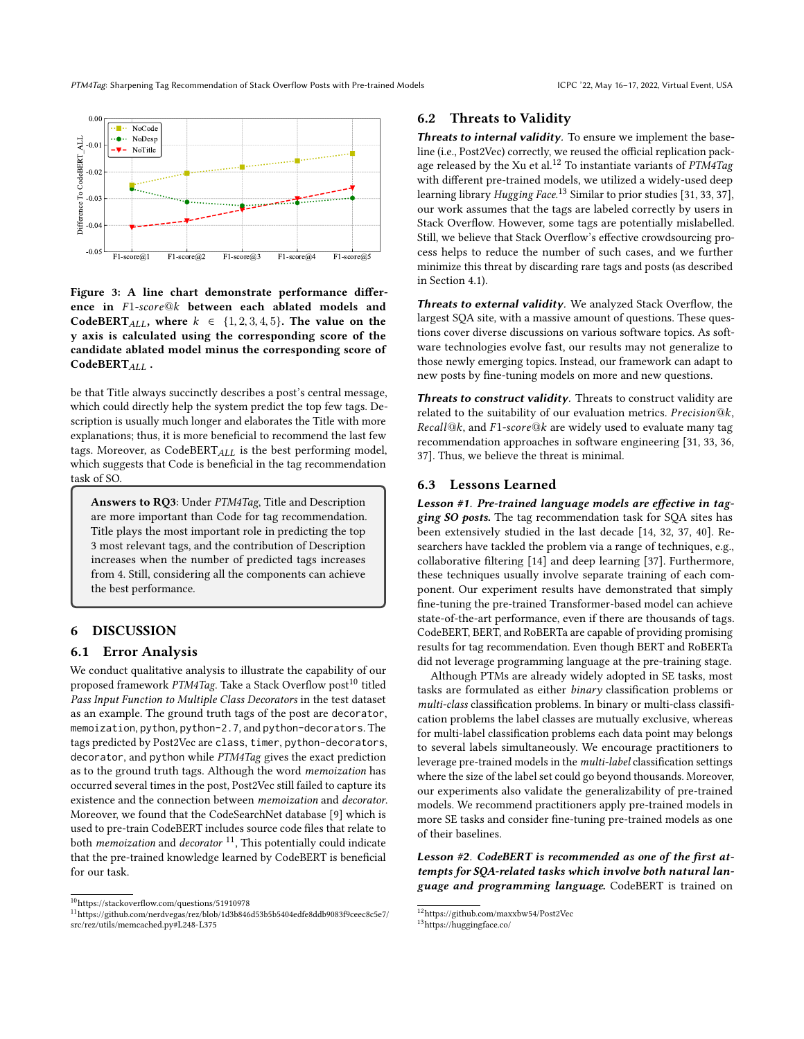PTM4Tag: Sharpening Tag Recommendation of Stack Overflow Posts with Pre-trained Models ICPC '22, May 16-17, 2022, Virtual Event, USA

<span id="page-8-1"></span>

Figure 3: A line chart demonstrate performance difference in F1-score@k between each ablated models and CodeBERT<sub>ALL</sub>, where  $k \in \{1, 2, 3, 4, 5\}$ . The value on the y axis is calculated using the corresponding score of the candidate ablated model minus the corresponding score of CodeBERT<sub>ALL</sub>.

be that Title always succinctly describes a post's central message, which could directly help the system predict the top few tags. Description is usually much longer and elaborates the Title with more explanations; thus, it is more beneficial to recommend the last few tags. Moreover, as CodeBERT $_{ALL}$  is the best performing model, which suggests that Code is beneficial in the tag recommendation task of SO.

Answers to RQ3: Under PTM4Tag, Title and Description are more important than Code for tag recommendation. Title plays the most important role in predicting the top 3 most relevant tags, and the contribution of Description increases when the number of predicted tags increases from 4. Still, considering all the components can achieve the best performance.

### <span id="page-8-0"></span>6 DISCUSSION

#### 6.1 Error Analysis

We conduct qualitative analysis to illustrate the capability of our proposed framework PTM4Tag. Take a Stack Overflow post<sup>[10](#page-8-2)</sup> titled Pass Input Function to Multiple Class Decorators in the test dataset as an example. The ground truth tags of the post are decorator, memoization, python, python-2.7, and python-decorators. The tags predicted by Post2Vec are class, timer, python-decorators, decorator, and python while PTM4Tag gives the exact prediction as to the ground truth tags. Although the word memoization has occurred several times in the post, Post2Vec still failed to capture its existence and the connection between memoization and decorator. Moreover, we found that the CodeSearchNet database [\[9\]](#page-10-26) which is used to pre-train CodeBERT includes source code files that relate to both *memoization* and *decorator*  $11$ , This potentially could indicate that the pre-trained knowledge learned by CodeBERT is beneficial for our task.

#### 6.2 Threats to Validity

Threats to internal validity. To ensure we implement the baseline (i.e., Post2Vec) correctly, we reused the official replication pack-age released by the Xu et al.<sup>[12](#page-8-4)</sup> To instantiate variants of  $PTM4Tag$ with different pre-trained models, we utilized a widely-used deep learning library *Hugging Face*.<sup>[13](#page-8-5)</sup> Similar to prior studies [\[31,](#page-10-36) [33,](#page-10-37) [37\]](#page-10-5), our work assumes that the tags are labeled correctly by users in Stack Overflow. However, some tags are potentially mislabelled. Still, we believe that Stack Overflow's effective crowdsourcing process helps to reduce the number of such cases, and we further minimize this threat by discarding rare tags and posts (as described in Section [4.1\)](#page-4-3).

Threats to external validity. We analyzed Stack Overflow, the largest SQA site, with a massive amount of questions. These questions cover diverse discussions on various software topics. As software technologies evolve fast, our results may not generalize to those newly emerging topics. Instead, our framework can adapt to new posts by fine-tuning models on more and new questions.

Threats to construct validity. Threats to construct validity are related to the suitability of our evaluation metrics. Precision@ $k$ ,  $Recall@k$ , and  $F1-score@k$  are widely used to evaluate many tag recommendation approaches in software engineering [\[31,](#page-10-36) [33,](#page-10-37) [36,](#page-10-38) [37\]](#page-10-5). Thus, we believe the threat is minimal.

#### 6.3 Lessons Learned

Lesson #1. Pre-trained language models are effective in tagging SO posts. The tag recommendation task for SQA sites has been extensively studied in the last decade [\[14,](#page-10-31) [32,](#page-10-3) [37,](#page-10-5) [40\]](#page-10-6). Researchers have tackled the problem via a range of techniques, e.g., collaborative filtering [\[14\]](#page-10-31) and deep learning [\[37\]](#page-10-5). Furthermore, these techniques usually involve separate training of each component. Our experiment results have demonstrated that simply fine-tuning the pre-trained Transformer-based model can achieve state-of-the-art performance, even if there are thousands of tags. CodeBERT, BERT, and RoBERTa are capable of providing promising results for tag recommendation. Even though BERT and RoBERTa did not leverage programming language at the pre-training stage.

Although PTMs are already widely adopted in SE tasks, most tasks are formulated as either binary classification problems or multi-class classification problems. In binary or multi-class classification problems the label classes are mutually exclusive, whereas for multi-label classification problems each data point may belongs to several labels simultaneously. We encourage practitioners to leverage pre-trained models in the multi-label classification settings where the size of the label set could go beyond thousands. Moreover, our experiments also validate the generalizability of pre-trained models. We recommend practitioners apply pre-trained models in more SE tasks and consider fine-tuning pre-trained models as one of their baselines.

Lesson #2. CodeBERT is recommended as one of the first attempts for SQA-related tasks which involve both natural language and programming language. CodeBERT is trained on

<span id="page-8-2"></span> $\overline{{}^{10}\text{https://stackoverflow.com/questions/51910978}}$  $\overline{{}^{10}\text{https://stackoverflow.com/questions/51910978}}$  $\overline{{}^{10}\text{https://stackoverflow.com/questions/51910978}}$ 

<span id="page-8-3"></span><sup>11</sup>[https://github.com/nerdvegas/rez/blob/1d3b846d53b5b5404edfe8ddb9083f9ceec8c5e7/](https://github.com/nerdvegas/rez/blob/1d3b846d53b5b5404edfe8ddb9083f9ceec8c5e7/src/rez/utils/memcached.py#L248-L375) [src/rez/utils/memcached.py#L248-L375](https://github.com/nerdvegas/rez/blob/1d3b846d53b5b5404edfe8ddb9083f9ceec8c5e7/src/rez/utils/memcached.py#L248-L375)

<span id="page-8-4"></span> $\overline{^{12}}$ <https://github.com/maxxbw54/Post2Vec>

<span id="page-8-5"></span><sup>13</sup><https://huggingface.co/>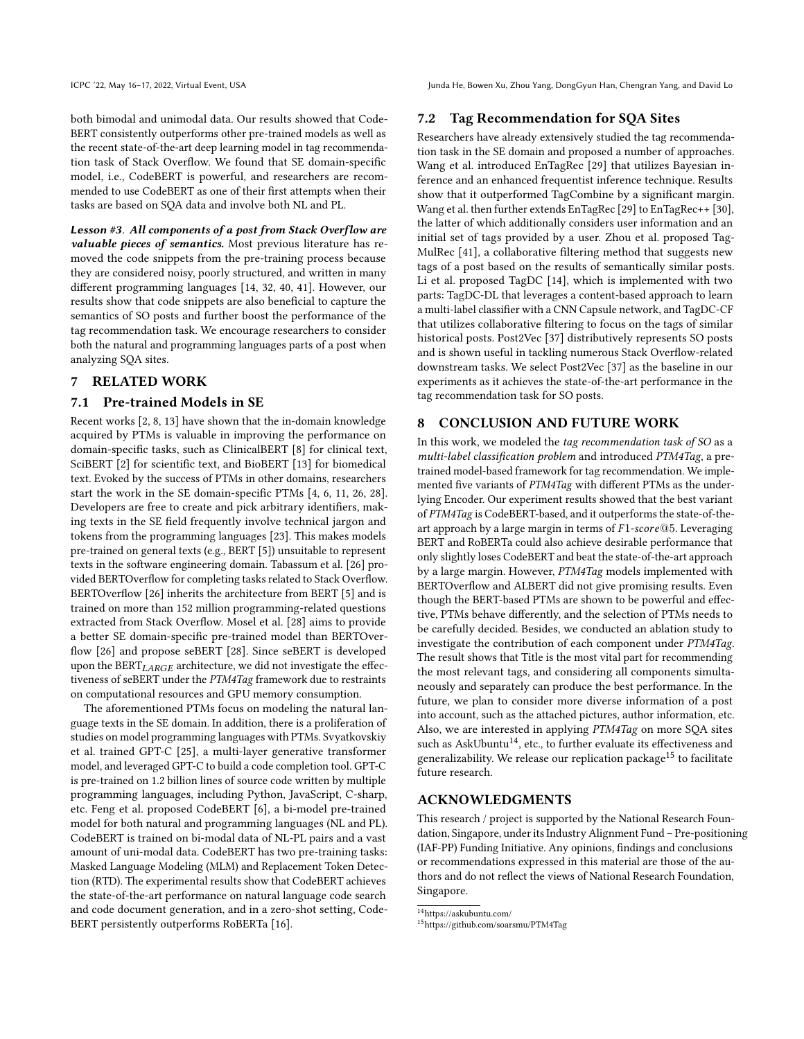ICPC '22, May 16-17, 2022, Virtual Event, USA Junda He, Bowen Xu, Zhou Yang, DongGyun Han, Chengran Yang, and David Lo

both bimodal and unimodal data. Our results showed that Code-BERT consistently outperforms other pre-trained models as well as the recent state-of-the-art deep learning model in tag recommendation task of Stack Overflow. We found that SE domain-specific model, i.e., CodeBERT is powerful, and researchers are recommended to use CodeBERT as one of their first attempts when their tasks are based on SQA data and involve both NL and PL.

Lesson #3. All components of a post from Stack Overflow are valuable pieces of semantics. Most previous literature has removed the code snippets from the pre-training process because they are considered noisy, poorly structured, and written in many different programming languages [\[14,](#page-10-31) [32,](#page-10-3) [40,](#page-10-6) [41\]](#page-10-39). However, our results show that code snippets are also beneficial to capture the semantics of SO posts and further boost the performance of the tag recommendation task. We encourage researchers to consider both the natural and programming languages parts of a post when analyzing SQA sites.

## <span id="page-9-0"></span>7 RELATED WORK

#### 7.1 Pre-trained Models in SE

Recent works [\[2,](#page-10-18) [8,](#page-10-19) [13\]](#page-10-20) have shown that the in-domain knowledge acquired by PTMs is valuable in improving the performance on domain-specific tasks, such as ClinicalBERT [\[8\]](#page-10-19) for clinical text, SciBERT [\[2\]](#page-10-18) for scientific text, and BioBERT [\[13\]](#page-10-20) for biomedical text. Evoked by the success of PTMs in other domains, researchers start the work in the SE domain-specific PTMs [\[4,](#page-10-40) [6,](#page-10-13) [11,](#page-10-41) [26,](#page-10-14) [28\]](#page-10-15). Developers are free to create and pick arbitrary identifiers, making texts in the SE field frequently involve technical jargon and tokens from the programming languages [\[23\]](#page-10-42). This makes models pre-trained on general texts (e.g., BERT [\[5\]](#page-10-9)) unsuitable to represent texts in the software engineering domain. Tabassum et al. [\[26\]](#page-10-14) provided BERTOverflow for completing tasks related to Stack Overflow. BERTOverflow [\[26\]](#page-10-14) inherits the architecture from BERT [\[5\]](#page-10-9) and is trained on more than 152 million programming-related questions extracted from Stack Overflow. Mosel et al. [\[28\]](#page-10-15) aims to provide a better SE domain-specific pre-trained model than BERTOverflow [\[26\]](#page-10-14) and propose seBERT [\[28\]](#page-10-15). Since seBERT is developed upon the  $BERT_{LARGE}$  architecture, we did not investigate the effectiveness of seBERT under the PTM4Tag framework due to restraints on computational resources and GPU memory consumption.

The aforementioned PTMs focus on modeling the natural language texts in the SE domain. In addition, there is a proliferation of studies on model programming languages with PTMs. Svyatkovskiy et al. trained GPT-C [\[25\]](#page-10-43), a multi-layer generative transformer model, and leveraged GPT-C to build a code completion tool. GPT-C is pre-trained on 1.2 billion lines of source code written by multiple programming languages, including Python, JavaScript, C-sharp, etc. Feng et al. proposed CodeBERT [\[6\]](#page-10-13), a bi-model pre-trained model for both natural and programming languages (NL and PL). CodeBERT is trained on bi-modal data of NL-PL pairs and a vast amount of uni-modal data. CodeBERT has two pre-training tasks: Masked Language Modeling (MLM) and Replacement Token Detection (RTD). The experimental results show that CodeBERT achieves the state-of-the-art performance on natural language code search and code document generation, and in a zero-shot setting, Code-BERT persistently outperforms RoBERTa [\[16\]](#page-10-10).

## 7.2 Tag Recommendation for SQA Sites

Researchers have already extensively studied the tag recommendation task in the SE domain and proposed a number of approaches. Wang et al. introduced EnTagRec [\[29\]](#page-10-1) that utilizes Bayesian inference and an enhanced frequentist inference technique. Results show that it outperformed TagCombine by a significant margin. Wang et al. then further extends EnTagRec [\[29\]](#page-10-1) to EnTagRec++ [\[30\]](#page-10-2), the latter of which additionally considers user information and an initial set of tags provided by a user. Zhou et al. proposed Tag-MulRec [\[41\]](#page-10-39), a collaborative filtering method that suggests new tags of a post based on the results of semantically similar posts. Li et al. proposed TagDC [\[14\]](#page-10-31), which is implemented with two parts: TagDC-DL that leverages a content-based approach to learn a multi-label classifier with a CNN Capsule network, and TagDC-CF that utilizes collaborative filtering to focus on the tags of similar historical posts. Post2Vec [\[37\]](#page-10-5) distributively represents SO posts and is shown useful in tackling numerous Stack Overflow-related downstream tasks. We select Post2Vec [\[37\]](#page-10-5) as the baseline in our experiments as it achieves the state-of-the-art performance in the tag recommendation task for SO posts.

#### <span id="page-9-1"></span>8 CONCLUSION AND FUTURE WORK

In this work, we modeled the tag recommendation task of SO as a multi-label classification problem and introduced PTM4Tag, a pretrained model-based framework for tag recommendation. We implemented five variants of PTM4Tag with different PTMs as the underlying Encoder. Our experiment results showed that the best variant of PTM4Tag is CodeBERT-based, and it outperforms the state-of-theart approach by a large margin in terms of  $F1-score@5$ . Leveraging BERT and RoBERTa could also achieve desirable performance that only slightly loses CodeBERT and beat the state-of-the-art approach by a large margin. However, PTM4Tag models implemented with BERTOverflow and ALBERT did not give promising results. Even though the BERT-based PTMs are shown to be powerful and effective, PTMs behave differently, and the selection of PTMs needs to be carefully decided. Besides, we conducted an ablation study to investigate the contribution of each component under PTM4Tag. The result shows that Title is the most vital part for recommending the most relevant tags, and considering all components simultaneously and separately can produce the best performance. In the future, we plan to consider more diverse information of a post into account, such as the attached pictures, author information, etc. Also, we are interested in applying PTM4Tag on more SQA sites such as AskUbuntu<sup>[14](#page-9-2)</sup>, etc., to further evaluate its effectiveness and generalizability. We release our replication package<sup>[15](#page-9-3)</sup> to facilitate future research.

## ACKNOWLEDGMENTS

This research / project is supported by the National Research Foundation, Singapore, under its Industry Alignment Fund – Pre-positioning (IAF-PP) Funding Initiative. Any opinions, findings and conclusions or recommendations expressed in this material are those of the authors and do not reflect the views of National Research Foundation, Singapore.

<span id="page-9-2"></span> $\overline{^{14}}$ <https://askubuntu.com/>

<span id="page-9-3"></span><sup>15</sup><https://github.com/soarsmu/PTM4Tag>